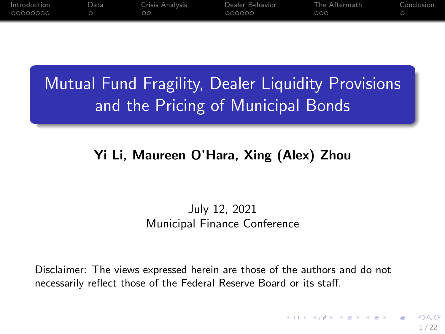<span id="page-0-0"></span>

| Introduction | Data | Crisis Analysis | Dealer Behavior | The Aftermath | Conclusion |
|--------------|------|-----------------|-----------------|---------------|------------|
| _00000000    |      | ററ              | 000000          | 000           |            |
|              |      |                 |                 |               |            |

# **Mutual Fund Fragility, Dealer Liquidity Provisions** and the Pricing of Municipal Bonds

# Yi Li, Maureen O'Hara, Xing (Alex) Zhou

#### July 12, 2021 Municipal Finance Conference

Disclaimer: The views expressed herein are those of the authors and do not necessarily reflect those of the Federal Reserve Board or its staff.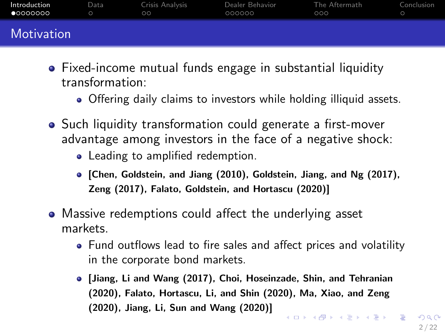<span id="page-1-0"></span>

| Introduction<br>•00000000 | Data | Crisis Analysis<br>$\circ$ | Dealer Behavior<br>000000 | The Aftermath<br>000 | Conclusion |
|---------------------------|------|----------------------------|---------------------------|----------------------|------------|
| Motivation                |      |                            |                           |                      |            |

- Fixed-income mutual funds engage in substantial liquidity transformation:
	- Offering daily claims to investors while holding illiquid assets.
- Such liquidity transformation could generate a first-mover advantage among investors in the face of a negative shock:
	- Leading to amplified redemption.
	- [Chen, Goldstein, and Jiang (2010), Goldstein, Jiang, and Ng (2017), Zeng (2017), Falato, Goldstein, and Hortascu (2020)]
- Massive redemptions could affect the underlying asset markets.
	- Fund outflows lead to fire sales and affect prices and volatility in the corporate bond markets.
	- [Jiang, Li and Wang (2017), Choi, Hoseinzade, Shin, and Tehranian (2020), Falato, Hortascu, Li, and Shin (2020), Ma, Xiao, and Zeng (2020), Jiang, Li, Sun and Wang (2020)]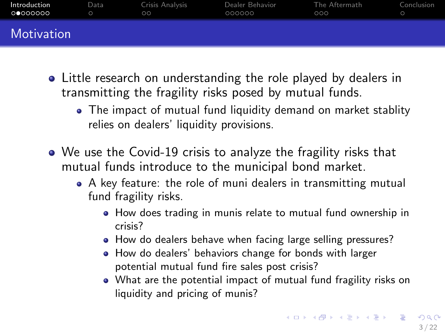| Introduction<br>00000000 | Data | Crisis Analysis<br>$\circ$ | Dealer Behavior<br>000000 | The Aftermath<br>000 | Conclusion |
|--------------------------|------|----------------------------|---------------------------|----------------------|------------|
| Motivation               |      |                            |                           |                      |            |

- Little research on understanding the role played by dealers in transmitting the fragility risks posed by mutual funds.
	- The impact of mutual fund liquidity demand on market stablity relies on dealers' liquidity provisions.
- We use the Covid-19 crisis to analyze the fragility risks that mutual funds introduce to the municipal bond market.
	- A key feature: the role of muni dealers in transmitting mutual fund fragility risks.
		- How does trading in munis relate to mutual fund ownership in crisis?
		- How do dealers behave when facing large selling pressures?
		- How do dealers' behaviors change for bonds with larger potential mutual fund fire sales post crisis?
		- What are the potential impact of mutual fund fragility risks on liquidity and pricing of munis?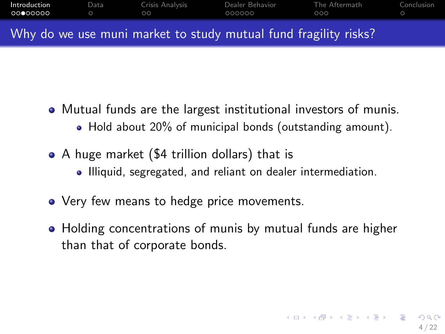| Introduction<br>റററേറററ | Data | Crisis Analysis<br>ററ | Dealer Behavior<br>000000                                       | The Aftermath<br>000 | Conclusion |
|-------------------------|------|-----------------------|-----------------------------------------------------------------|----------------------|------------|
|                         |      |                       | Why do we use muni market to study mutual fund fragility risks? |                      |            |

- Mutual funds are the largest institutional investors of munis. • Hold about 20% of municipal bonds (outstanding amount).
- A huge market (\$4 trillion dollars) that is • Illiquid, segregated, and reliant on dealer intermediation.
- Very few means to hedge price movements.
- Holding concentrations of munis by mutual funds are higher than that of corporate bonds.

4 / 22

イロト 不優 ト 不思 ト 不思 トー 理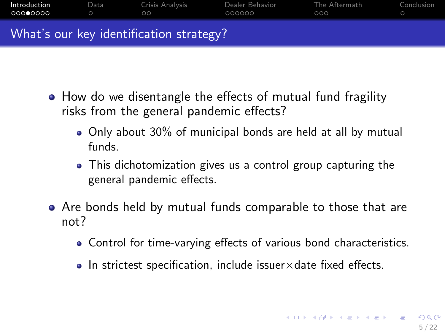| Introduction<br>00000000 | Data | Crisis Analysis<br>ററ                   | Dealer Behavior<br>000000 | The Aftermath<br>റററ | Conclusion |
|--------------------------|------|-----------------------------------------|---------------------------|----------------------|------------|
|                          |      | What's our key identification strategy? |                           |                      |            |

- How do we disentangle the effects of mutual fund fragility risks from the general pandemic effects?
	- Only about 30% of municipal bonds are held at all by mutual funds.
	- This dichotomization gives us a control group capturing the general pandemic effects.
- Are bonds held by mutual funds comparable to those that are not?
	- Control for time-varying effects of various bond characteristics.
	- $\bullet$  In strictest specification, include issuer $\times$ date fixed effects.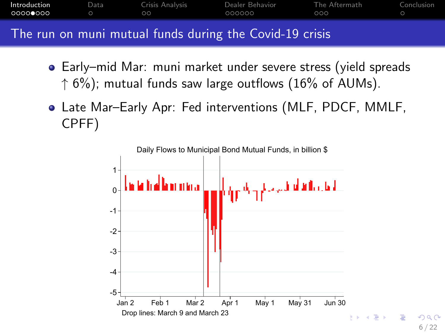| Introduction | Data | Crisis Analysis<br>ററ | Dealer Behavior<br>000000                               | The Aftermath<br>റററ | Conclusion |
|--------------|------|-----------------------|---------------------------------------------------------|----------------------|------------|
|              |      |                       | The run on muni mutual funds during the Covid-19 crisis |                      |            |

- Early–mid Mar: muni market under severe stress (yield spreads  $\uparrow$  6%); mutual funds saw large outflows (16% of AUMs).
- Late Mar–Early Apr: Fed interventions (MLF, PDCF, MMLF, CPFF)

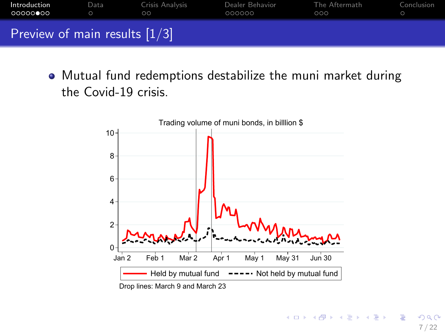| Introduction<br>○○○○○●○○        | Data | Crisis Analysis<br>ററ | Dealer Behavior<br>000000 | The Aftermath<br>000 | Conclusion |
|---------------------------------|------|-----------------------|---------------------------|----------------------|------------|
| Preview of main results $[1/3]$ |      |                       |                           |                      |            |

Mutual fund redemptions destabilize the muni market during the Covid-19 crisis.

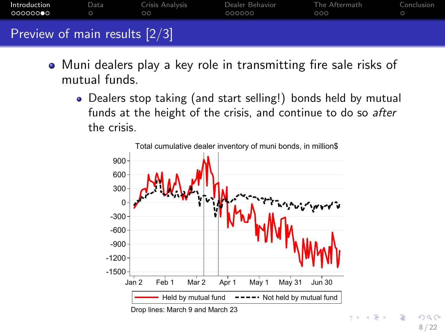| Introduction<br>000000●0        | Data | Crisis Analysis<br>ററ | Dealer Behavior<br>000000 | The Aftermath<br>റററ | Conclusion |
|---------------------------------|------|-----------------------|---------------------------|----------------------|------------|
| Preview of main results $[2/3]$ |      |                       |                           |                      |            |

- Muni dealers play a key role in transmitting fire sale risks of mutual funds.
	- Dealers stop taking (and start selling!) bonds held by mutual funds at the height of the crisis, and continue to do so after the crisis.

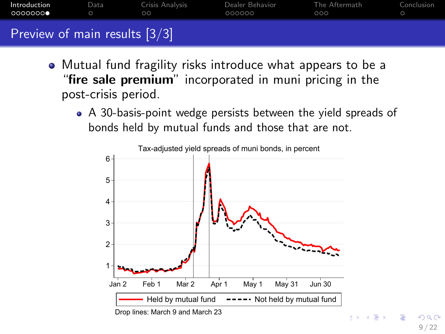| Introduction<br>0000000●        | Data | Crisis Analysis<br>$\circ$ | Dealer Behavior<br>000000 | The Aftermath<br>000 | Conclusion |
|---------------------------------|------|----------------------------|---------------------------|----------------------|------------|
| Preview of main results $[3/3]$ |      |                            |                           |                      |            |

- Mutual fund fragility risks introduce what appears to be a "fire sale premium" incorporated in muni pricing in the post-crisis period.
	- A 30-basis-point wedge persists between the yield spreads of bonds held by mutual funds and those that are not.



9 / 22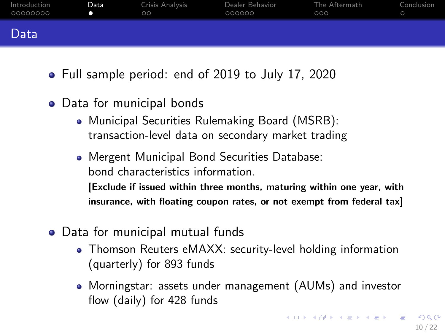<span id="page-9-0"></span>

| Introduction<br>00000000 | Data | Crisis Analysis<br>$\circ$ | Dealer Behavior<br>000000 | The Aftermath<br>000 | Conclusion |
|--------------------------|------|----------------------------|---------------------------|----------------------|------------|
| Data                     |      |                            |                           |                      |            |

- Full sample period: end of 2019 to July 17, 2020
- Data for municipal bonds
	- Municipal Securities Rulemaking Board (MSRB): transaction-level data on secondary market trading
	- Mergent Municipal Bond Securities Database: bond characteristics information.

[Exclude if issued within three months, maturing within one year, with insurance, with floating coupon rates, or not exempt from federal tax]

- Data for municipal mutual funds
	- Thomson Reuters eMAXX: security-level holding information (quarterly) for 893 funds
	- Morningstar: assets under management (AUMs) and investor flow (daily) for 428 funds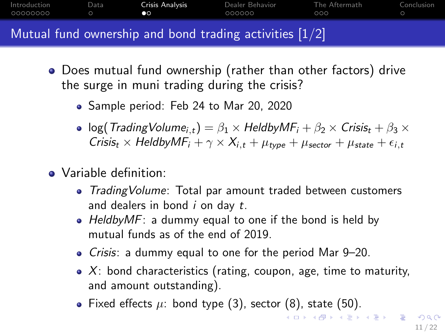<span id="page-10-0"></span>

| Introduction<br>00000000 | Data | Crisis Analysis<br>$\bullet$ | Dealer Behavior<br>000000                                 | The Aftermath<br>000 | Conclusion |
|--------------------------|------|------------------------------|-----------------------------------------------------------|----------------------|------------|
|                          |      |                              | Mutual fund ownership and bond trading activities $[1/2]$ |                      |            |

- Does mutual fund ownership (rather than other factors) drive the surge in muni trading during the crisis?
	- Sample period: Feb 24 to Mar 20, 2020
	- log(TradingVolume<sub>i,t</sub>) =  $\beta_1 \times$  HeldbyMF<sub>i</sub> +  $\beta_2 \times$  Crisis<sub>t</sub> +  $\beta_3 \times$ Crisis<sub>t</sub> × HeldbyMF<sub>i</sub> +  $\gamma$  ×  $X_{i,t}$  +  $\mu_{type}$  +  $\mu_{sector}$  +  $\mu_{state}$  +  $\epsilon_{i,t}$
- Variable definition:
	- Trading Volume: Total par amount traded between customers and dealers in bond  $i$  on day  $t$ .
	- HeldbyMF: a dummy equal to one if the bond is held by mutual funds as of the end of 2019.
	- Crisis: a dummy equal to one for the period Mar 9–20.
	- $\bullet$  X: bond characteristics (rating, coupon, age, time to maturity, and amount outstanding).
	- Fixed effects  $\mu$ : bond type (3), sector (8), state (50).

イロメ イ団 メイミメイミメー 差し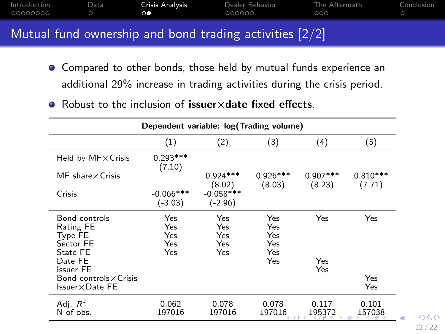<span id="page-11-0"></span>

| - 00000000 | $\circ$ | 000000                                                                       | 000 |  |
|------------|---------|------------------------------------------------------------------------------|-----|--|
|            |         | Mutual fund ownership and bond trading activities $\left[\frac{2}{2}\right]$ |     |  |

- Compared to other bonds, those held by mutual funds experience an additional 29% increase in trading activities during the crisis period.
- $\bullet$  Robust to the inclusion of issuer $\times$  date fixed effects.

|                                                                                                      | Dependent variable: log(Trading volume) |                                 |                                        |                      |                      |  |  |  |  |
|------------------------------------------------------------------------------------------------------|-----------------------------------------|---------------------------------|----------------------------------------|----------------------|----------------------|--|--|--|--|
|                                                                                                      | (1)                                     | (2)                             | (3)                                    | (4)                  | (5)                  |  |  |  |  |
| Held by $MF \times Crisis$                                                                           | $0.293***$<br>(7.10)                    |                                 |                                        |                      |                      |  |  |  |  |
| $MF$ share $\times$ Crisis                                                                           |                                         | $0.924***$<br>(8.02)            | $0.926***$<br>(8.03)                   | $0.907***$<br>(8.23) | $0.810***$<br>(7.71) |  |  |  |  |
| Crisis                                                                                               | $-0.066$ ***<br>$(-3.03)$               | $-0.058***$<br>$(-2.96)$        |                                        |                      |                      |  |  |  |  |
| Bond controls<br>Rating FE<br><b>Type FE</b><br>Sector FE<br>State FE<br>Date FE<br><b>Issuer FE</b> | Yes<br>Yes<br>Yes<br>Yes<br>Yes         | Yes<br>Yes<br>Yes<br>Yes<br>Yes | Yes<br>Yes<br>Yes<br>Yes<br>Yes<br>Yes | Yes<br>Yes<br>Yes    | Yes                  |  |  |  |  |
| Bond controls × Crisis<br>$\sf{lssuer}{\times}\sf{Date}$ FE                                          |                                         |                                 |                                        |                      | Yes<br>Yes           |  |  |  |  |
| Adj. $R^2$<br>N of obs.                                                                              | 0.062<br>197016                         | 0.078<br>197016                 | 0.078<br>197016                        | 0.117<br>195372      | 0.101<br>157038      |  |  |  |  |

 $\Omega$ 12 / 22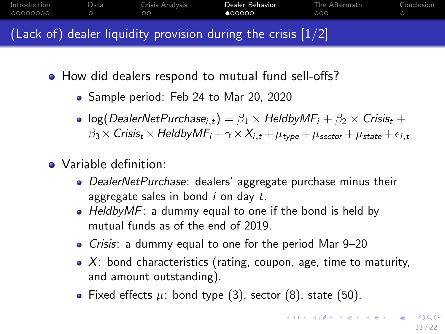<span id="page-12-0"></span>

- How did dealers respond to mutual fund sell-offs?
	- Sample period: Feb 24 to Mar 20, 2020
	- log(DealerNetPurchase<sub>it)</sub> =  $\beta_1 \times$  HeldbyMF<sub>i</sub> +  $\beta_2 \times$  Crisis<sub>t</sub> +  $\beta_3 \times \text{Crisis}_t \times \text{HeldbyMF}_i + \gamma \times X_{i,t} + \mu_{\text{type}} + \mu_{\text{sector}} + \mu_{\text{state}} + \epsilon_{i,t}$
- Variable definition:
	- DealerNetPurchase: dealers' aggregate purchase minus their aggregate sales in bond  $i$  on day  $t$ .
	- Heldby  $MF$ : a dummy equal to one if the bond is held by mutual funds as of the end of 2019.
	- Crisis: a dummy equal to one for the period Mar 9–20
	- $\bullet$  X: bond characteristics (rating, coupon, age, time to maturity, and amount outstanding).
	- Fixed effects  $\mu$ : bond type (3), sector (8), state (50).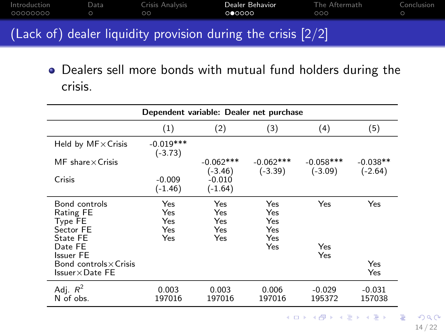| Introduction<br>_00000000 | Data | Crisis Analysis<br>ററ | Dealer Behavior<br>000000                                      | The Aftermath<br>nnn | Conclusion |
|---------------------------|------|-----------------------|----------------------------------------------------------------|----------------------|------------|
|                           |      |                       | (Lack of) dealer liquidity provision during the crisis $[2/2]$ |                      |            |

Dealers sell more bonds with mutual fund holders during the crisis.

| Dependent variable: Dealer net purchase                                   |                                 |                                 |                                        |                          |                         |  |  |  |
|---------------------------------------------------------------------------|---------------------------------|---------------------------------|----------------------------------------|--------------------------|-------------------------|--|--|--|
|                                                                           | (1)                             | (2)                             | (3)                                    | (4)                      | (5)                     |  |  |  |
| Held by $MF \times$ Crisis                                                | $-0.019***$<br>$(-3.73)$        |                                 |                                        |                          |                         |  |  |  |
| $MF$ share $\times$ Crisis                                                |                                 | $-0.062***$<br>$(-3.46)$        | $-0.062***$<br>$(-3.39)$               | $-0.058***$<br>$(-3.09)$ | $-0.038**$<br>$(-2.64)$ |  |  |  |
| Crisis                                                                    | $-0.009$<br>$(-1.46)$           | $-0.010$<br>$(-1.64)$           |                                        |                          |                         |  |  |  |
| Bond controls<br>Rating FE<br>Type FE<br>Sector FE<br>State FE<br>Date FE | Yes<br>Yes<br>Yes<br>Yes<br>Yes | Yes<br>Yes<br>Yes<br>Yes<br>Yes | Yes<br>Yes<br>Yes<br>Yes<br>Yes<br>Yes | Yes<br>Yes               | Yes                     |  |  |  |
| <b>Issuer FE</b><br>Bond controls × Crisis<br>$Issuer \times Date FE$     |                                 |                                 |                                        | Yes                      | Yes<br>Yes              |  |  |  |
| Adj. $R^2$<br>N of obs.                                                   | 0.003<br>197016                 | 0.003<br>197016                 | 0.006<br>197016                        | $-0.029$<br>195372       | $-0.031$<br>157038      |  |  |  |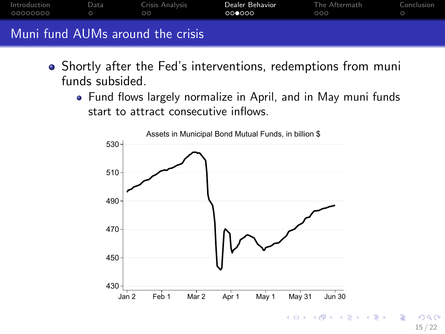|                           |      | Mont found AllMa and one date antata |                           |                      |            |
|---------------------------|------|--------------------------------------|---------------------------|----------------------|------------|
| Introduction<br>_00000000 | Data | Crisis Analysis<br>ററ                | Dealer Behavior<br>000000 | The Aftermath<br>റററ | Conclusion |

## AUMs around the crisis

- Shortly after the Fed's interventions, redemptions from muni funds subsided.
	- Fund flows largely normalize in April, and in May muni funds start to attract consecutive inflows.



画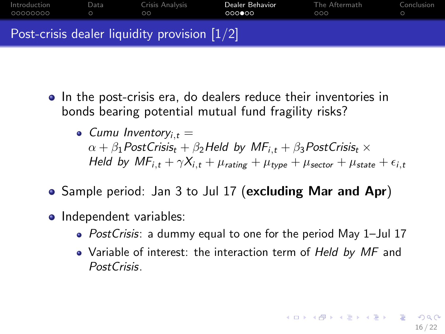| Introduction<br>00000000 | Data | Crisis Analysis<br>ററ                                     | Dealer Behavior<br>000000 | The Aftermath<br>000 | Conclusion |
|--------------------------|------|-----------------------------------------------------------|---------------------------|----------------------|------------|
|                          |      | Post-crisis dealer liquidity provision $\left[1/2\right]$ |                           |                      |            |

- In the post-crisis era, do dealers reduce their inventories in bonds bearing potential mutual fund fragility risks?
	- $\bullet$  Cumu Inventory<sub>it</sub> =  $\alpha + \beta_1$ PostCrisis<sub>t</sub> +  $\beta_2$ Held by MF<sub>i,t</sub> +  $\beta_3$ PostCrisis<sub>t</sub> × Held by  $MF_{i,t} + \gamma X_{i,t} + \mu_{rating} + \mu_{type} + \mu_{sector} + \mu_{state} + \epsilon_{i,t}$
- Sample period: Jan 3 to Jul 17 (excluding Mar and Apr)
- Independent variables:
	- PostCrisis: a dummy equal to one for the period May 1-Jul 17
	- Variable of interest: the interaction term of Held by MF and PostCrisis.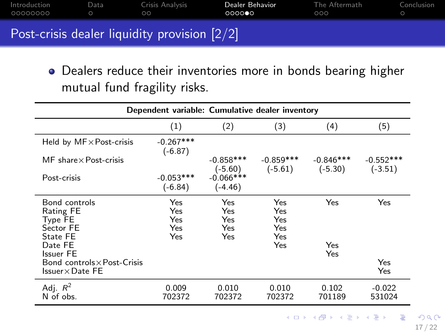<span id="page-16-0"></span>

| Introduction<br>_00000000 | Data | Crisis Analysis<br>ററ                        | Dealer Behavior<br>000000 | The Aftermath<br>000 | Conclusion |
|---------------------------|------|----------------------------------------------|---------------------------|----------------------|------------|
|                           |      | Post-crisis dealer liquidity provision [2/2] |                           |                      |            |

Dealers reduce their inventories more in bonds bearing higher mutual fund fragility risks.

| Dependent variable: Cumulative dealer inventory                                                                                                                |                                 |                                 |                                        |                          |                          |  |  |  |
|----------------------------------------------------------------------------------------------------------------------------------------------------------------|---------------------------------|---------------------------------|----------------------------------------|--------------------------|--------------------------|--|--|--|
|                                                                                                                                                                | (1)                             | (2)                             | (3)                                    | (4)                      | (5)                      |  |  |  |
| Held by $MF \times Post-crisis$                                                                                                                                | $-0.267***$<br>$(-6.87)$        |                                 |                                        |                          |                          |  |  |  |
| $MF$ share $\times$ Post-crisis                                                                                                                                |                                 | $-0.858***$<br>$(-5.60)$        | $-0.859***$<br>$(-5.61)$               | $-0.846***$<br>$(-5.30)$ | $-0.552***$<br>$(-3.51)$ |  |  |  |
| Post-crisis                                                                                                                                                    | $-0.053***$<br>$(-6.84)$        | $-0.066$ ***<br>$(-4.46)$       |                                        |                          |                          |  |  |  |
| Bond controls<br>Rating FE<br><b>Type FE</b><br>Sector FE<br>State FE<br>Date FE<br><b>Issuer FE</b><br>Bond controls × Post-Crisis<br>$Issuer \times Date FE$ | Yes<br>Yes<br>Yes<br>Yes<br>Yes | Yes<br>Yes<br>Yes<br>Yes<br>Yes | Yes<br>Yes<br>Yes<br>Yes<br>Yes<br>Yes | Yes<br>Yes<br>Yes        | Yes<br>Yes<br>Yes        |  |  |  |
| Adj. $R^2$<br>N of obs.                                                                                                                                        | 0.009<br>702372                 | 0.010<br>702372                 | 0.010<br>702372                        | 0.102<br>701189          | $-0.022$<br>531024       |  |  |  |

K ロ ▶ K @ ▶ K 할 ▶ K 할 ▶ 이 할 → 9 Q Q → 17 / 22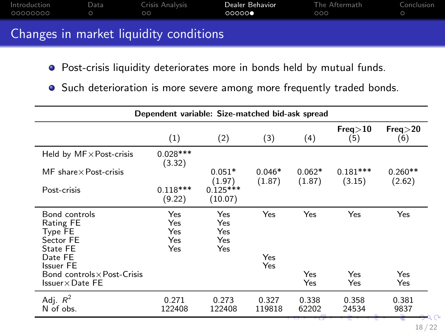<span id="page-17-0"></span>

| Introduction<br>00000000 | Data | Crisis Analysis<br>ററ | Dealer Behavior<br>00000 | The Aftermath<br>000 | Conclusion |
|--------------------------|------|-----------------------|--------------------------|----------------------|------------|
|                          | .    |                       |                          |                      |            |

## Changes in market liquidity conditions

- **•** Post-crisis liquidity deteriorates more in bonds held by mutual funds.
- Such deterioration is more severe among more frequently traded bonds.

| Dependent variable: Size-matched bid-ask spread                                |                                 |                                 |                 |                |                |                |  |  |
|--------------------------------------------------------------------------------|---------------------------------|---------------------------------|-----------------|----------------|----------------|----------------|--|--|
|                                                                                | (1)                             | (2)                             | (3)             | (4)            | Free>10<br>(5) | Freq>20<br>(6) |  |  |
| Held by $MF \times Post-crisis$                                                | $0.028***$<br>(3.32)            |                                 |                 |                |                |                |  |  |
| $MF$ share $\times$ Post-crisis                                                |                                 | $0.051*$                        | $0.046*$        | $0.062*$       | $0.181***$     | $0.260**$      |  |  |
| Post-crisis                                                                    | $0.118***$<br>(9.22)            | (1.97)<br>$0.125***$<br>(10.07) | (1.87)          | (1.87)         | (3.15)         | (2.62)         |  |  |
| Bond controls<br>Rating FE<br>Type FE<br>Sector FE<br>State FE<br>Date FE      | Yes<br>Yes<br>Yes<br>Yes<br>Yes | Yes<br>Yes<br>Yes<br>Yes<br>Yes | Yes<br>Yes      | Yes            | Yes            | Yes            |  |  |
| <b>Issuer FE</b>                                                               |                                 |                                 | Yes             |                |                |                |  |  |
| Bond controls $\times$ Post-Crisis<br>$\sf{lssuer} \times \sf{Date} \ \sf{FE}$ |                                 |                                 |                 | Yes<br>Yes     | Yes<br>Yes     | Yes<br>Yes     |  |  |
| Adj. $R^2$<br>N of obs.                                                        | 0.271<br>122408                 | 0.273<br>122408                 | 0.327<br>119818 | 0.338<br>62202 | 0.358<br>24534 | 0.381<br>9837  |  |  |

18 / 22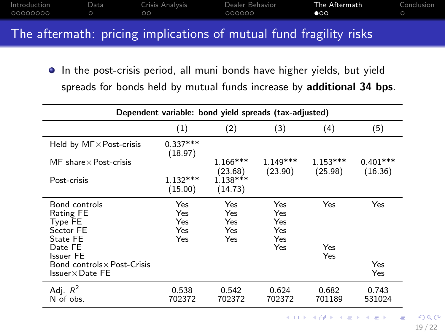<span id="page-18-0"></span>

| Introduction<br>_00000000 | Data | Crisis Analysis<br>ററ | Dealer Behavior<br>000000 | The Aftermath<br>$\bullet$ 00 | Conclusion |
|---------------------------|------|-----------------------|---------------------------|-------------------------------|------------|
| __                        |      |                       |                           |                               |            |

#### The aftermath: pricing implications of mutual fund fragility risks

In the post-crisis period, all muni bonds have higher yields, but yield spreads for bonds held by mutual funds increase by additional 34 bps.

| Dependent variable: bond yield spreads (tax-adjusted)                                                                                                   |                                 |                                        |                                        |                       |                       |  |  |  |  |
|---------------------------------------------------------------------------------------------------------------------------------------------------------|---------------------------------|----------------------------------------|----------------------------------------|-----------------------|-----------------------|--|--|--|--|
|                                                                                                                                                         | (1)                             | (2)                                    | (3)                                    | (4)                   | (5)                   |  |  |  |  |
| Held by $MF \times Post-crisis$                                                                                                                         | $0.337***$<br>(18.97)           |                                        |                                        |                       |                       |  |  |  |  |
| $MF$ share $\times$ Post-crisis                                                                                                                         |                                 | $1.166***$<br>(23.68)                  | $1.149***$<br>(23.90)                  | $1.153***$<br>(25.98) | $0.401***$<br>(16.36) |  |  |  |  |
| Post-crisis                                                                                                                                             | $1.132***$<br>(15.00)           | $1.138***$<br>(14.73)                  |                                        |                       |                       |  |  |  |  |
| Bond controls<br>Rating FE<br>Type FE<br>Sector FE<br>State FE<br>Date FE<br><b>Issuer FE</b><br>Bond controls × Post-Crisis<br>$Issuer \times Date FE$ | Yes<br>Yes<br>Yes<br>Yes<br>Yes | Yes<br>Yes<br>Yes<br><b>Yes</b><br>Yes | Yes<br>Yes<br>Yes<br>Yes<br>Yes<br>Yes | Yes<br>Yes<br>Yes     | Yes<br>Yes<br>Yes     |  |  |  |  |
| Adj. $R^2$<br>N of obs.                                                                                                                                 | 0.538<br>702372                 | 0.542<br>702372                        | 0.624<br>702372                        | 0.682<br>701189       | 0.743<br>531024       |  |  |  |  |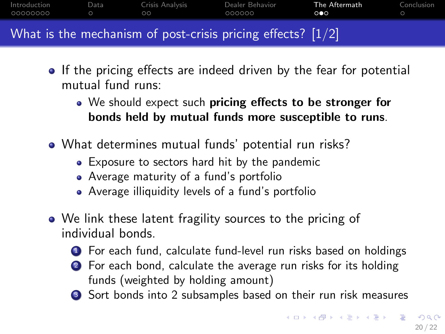<span id="page-19-0"></span>

| Introduction<br>00000000 | Data | Crisis Analysis<br>ററ | Dealer Behavior<br>000000                                     | The Aftermath<br>ററെ | Conclusion |
|--------------------------|------|-----------------------|---------------------------------------------------------------|----------------------|------------|
|                          |      |                       | What is the mechanism of post-crisis pricing effects? $[1/2]$ |                      |            |

- If the pricing effects are indeed driven by the fear for potential mutual fund runs:
	- We should expect such pricing effects to be stronger for bonds held by mutual funds more susceptible to runs.
- What determines mutual funds' potential run risks?
	- Exposure to sectors hard hit by the pandemic
	- Average maturity of a fund's portfolio
	- Average illiquidity levels of a fund's portfolio
- We link these latent fragility sources to the pricing of individual bonds.
	- <sup>1</sup> For each fund, calculate fund-level run risks based on holdings
	- 2 For each bond, calculate the average run risks for its holding funds (weighted by holding amount)
	- **3** Sort bonds into 2 subsamples based on their run risk measures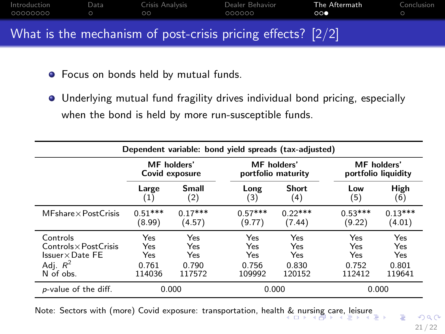<span id="page-20-0"></span>

| Introduction<br>00000000 | Data | Crisis Analysis<br>nn | Dealer Behavior<br>000000                                     | The Aftermath<br>ററല | Conclusion |
|--------------------------|------|-----------------------|---------------------------------------------------------------|----------------------|------------|
|                          |      |                       | What is the mechanism of post-crisis pricing effects? $[2/2]$ |                      |            |

- **•** Focus on bonds held by mutual funds.
- Underlying mutual fund fragility drives individual bond pricing, especially when the bond is held by more run-susceptible funds.

| Dependent variable: bond yield spreads (tax-adjusted) |                                      |           |           |                                          |           |                                           |  |  |
|-------------------------------------------------------|--------------------------------------|-----------|-----------|------------------------------------------|-----------|-------------------------------------------|--|--|
|                                                       | <b>MF</b> holders'<br>Covid exposure |           |           | <b>MF</b> holders'<br>portfolio maturity |           | <b>MF</b> holders'<br>portfolio liquidity |  |  |
|                                                       | Large                                | Small     | Long      | <b>Short</b>                             | Low       | High                                      |  |  |
|                                                       | (1)                                  | (2)       | (3)       | (4)                                      | (5)       | (6)                                       |  |  |
| $MFshare \times PostCrisis$                           | $0.51***$                            | $0.17***$ | $0.57***$ | $0.22***$                                | $0.53***$ | $0.13***$                                 |  |  |
|                                                       | (8.99)                               | (4.57)    | (9.77)    | (7.44)                                   | (9.22)    | (4.01)                                    |  |  |
| Controls                                              | Yes                                  | Yes       | Yes       | Yes                                      | Yes       | Yes                                       |  |  |
| $Controls \times PostCrisis$                          | Yes                                  | Yes       | Yes       | Yes                                      | Yes       | Yes                                       |  |  |
| $Issuer \times Date FE$                               | Yes                                  | Yes       | Yes       | Yes                                      | Yes       | Yes                                       |  |  |
| Adj. $R^2$                                            | 0.761                                | 0.790     | 0.756     | 0.830                                    | 0.752     | 0.801                                     |  |  |
| N of obs.                                             | 114036                               | 117572    | 109992    | 120152                                   | 112412    | 119641                                    |  |  |
| p-value of the diff.                                  | 0.000                                |           | 0.000     |                                          | 0.000     |                                           |  |  |

Note: Sectors with (more) Covid exposure: transportation, healt[h &](#page-19-0) [nur](#page-21-0)[si](#page-19-0)[ng](#page-20-0) [ca](#page-21-0)[re](#page-17-0)[, l](#page-18-0)[ei](#page-20-0)[su](#page-21-0)re

 $\equiv$ 

 $2990$ 21 / 22